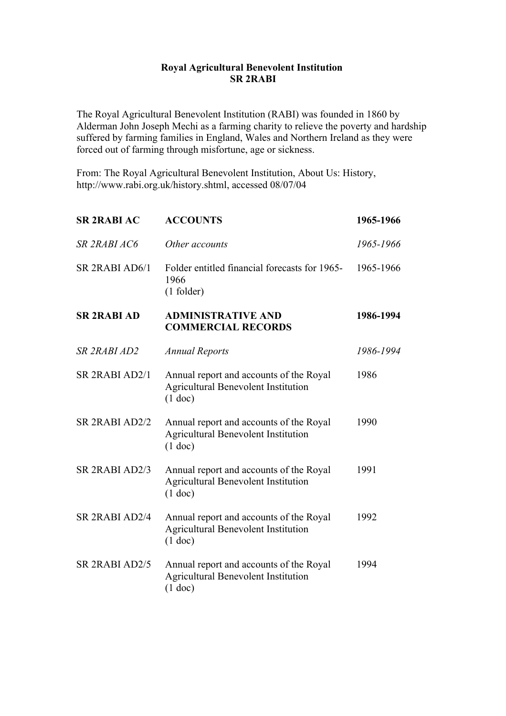## **Royal Agricultural Benevolent Institution SR 2RABI**

The Royal Agricultural Benevolent Institution (RABI) was founded in 1860 by Alderman John Joseph Mechi as a farming charity to relieve the poverty and hardship suffered by farming families in England, Wales and Northern Ireland as they were forced out of farming through misfortune, age or sickness.

From: The Royal Agricultural Benevolent Institution, About Us: History, http://www.rabi.org.uk/history.shtml, accessed 08/07/04

| <b>SR 2RABI AC</b>                     | <b>ACCOUNTS</b>                                                                                    | 1965-1966 |
|----------------------------------------|----------------------------------------------------------------------------------------------------|-----------|
| SR 2RABI AC6                           | Other accounts                                                                                     | 1965-1966 |
| SR <sub>2RABI</sub> AD <sub>6</sub> /1 | Folder entitled financial forecasts for 1965-<br>1966<br>$(1$ folder)                              | 1965-1966 |
| <b>SR 2RABI AD</b>                     | <b>ADMINISTRATIVE AND</b><br><b>COMMERCIAL RECORDS</b>                                             | 1986-1994 |
| SR 2RABI AD2                           | <b>Annual Reports</b>                                                                              | 1986-1994 |
| SR 2RABI AD2/1                         | Annual report and accounts of the Royal<br><b>Agricultural Benevolent Institution</b><br>$(1$ doc) | 1986      |
| SR 2RABI AD2/2                         | Annual report and accounts of the Royal<br><b>Agricultural Benevolent Institution</b><br>$(1$ doc) | 1990      |
| SR 2RABI AD2/3                         | Annual report and accounts of the Royal<br><b>Agricultural Benevolent Institution</b><br>$(1$ doc) | 1991      |
| SR 2RABI AD2/4                         | Annual report and accounts of the Royal<br>Agricultural Benevolent Institution<br>$(1$ doc)        | 1992      |
| SR 2RABI AD2/5                         | Annual report and accounts of the Royal<br><b>Agricultural Benevolent Institution</b><br>$(1$ doc) | 1994      |